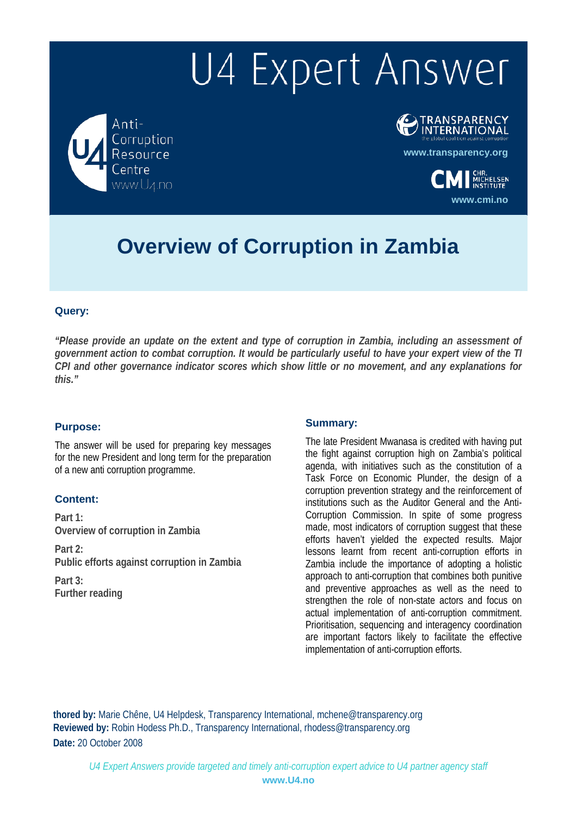Anti-Corruption Resource Centre

**OTRANSPARENCY** 

**[www.transparency.org](http://www.transparency.org/)**

**[www.cmi.no](http://www.cmi.no/)**

**CMI** MICHELSEN

**Overview of Corruption in Zambia**

### **Query:**

*"Please provide an update on the extent and type of corruption in Zambia, including an assessment of government action to combat corruption. It would be particularly useful to have your expert view of the TI CPI and other governance indicator scores which show little or no movement, and any explanations for this."*

### **Purpose:**

The answer will be used for preparing key messages for the new President and long term for the preparation of a new anti corruption programme.

## **Content:**

**Part 1: Overview of corruption in Zambia**

**Part 2: Public efforts against corruption in Zambia**

**Part 3: Further reading**

### **Summary:**

The late President Mwanasa is credited with having put the fight against corruption high on Zambia's political agenda, with initiatives such as the constitution of a Task Force on Economic Plunder, the design of a corruption prevention strategy and the reinforcement of institutions such as the Auditor General and the Anti-Corruption Commission. In spite of some progress made, most indicators of corruption suggest that these efforts haven't yielded the expected results. Major lessons learnt from recent anti-corruption efforts in Zambia include the importance of adopting a holistic approach to anti-corruption that combines both punitive and preventive approaches as well as the need to strengthen the role of non-state actors and focus on actual implementation of anti-corruption commitment. Prioritisation, sequencing and interagency coordination are important factors likely to facilitate the effective implementation of anti-corruption efforts.

**thored by:** Marie Chêne, U4 Helpdesk, Transparency International, [mchene@transparency.org](mailto:mchene@transparency.org%20?subject=U4%20Expert%20Answer) **Reviewed by:** Robin Hodess Ph.D., Transparency International, [rhodess@transparency.org](mailto:rhodess@transparency.org%20?subject=U4%20Expert%20Answer) **Date:** 20 October 2008

*U4 Expert Answers provide targeted and timely anti-corruption expert advice to U4 partner agency staff* **[www.U4.no](http://www.u4.no/)**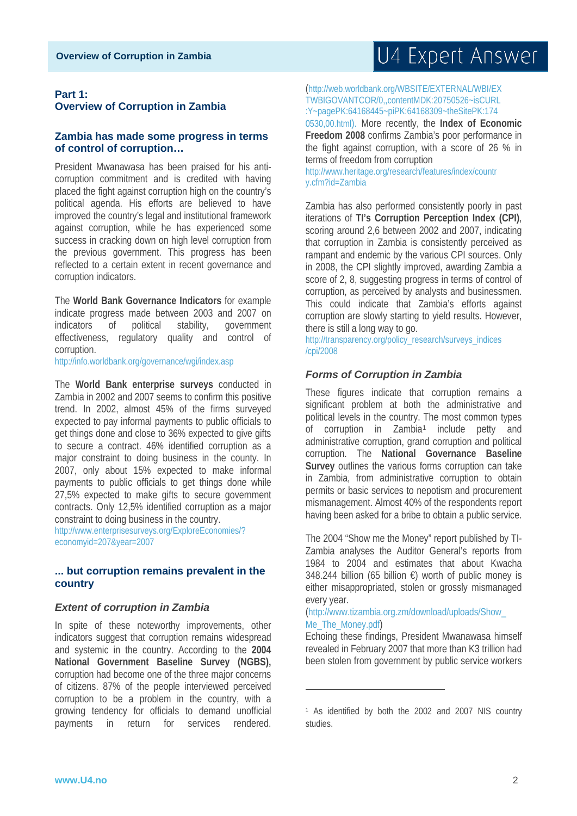### **Part 1: Overview of Corruption in Zambia**

### **Zambia has made some progress in terms of control of corruption…**

President Mwanawasa has been praised for his anticorruption commitment and is credited with having placed the fight against corruption high on the country's political agenda. His efforts are believed to have improved the country's legal and institutional framework against corruption, while he has experienced some success in cracking down on high level corruption from the previous government. This progress has been reflected to a certain extent in recent governance and corruption indicators.

The **World Bank Governance Indicators** for example indicate progress made between 2003 and 2007 on indicators of political stability, government effectiveness, regulatory quality and control of corruption.

http://info.worldbank.org/governance/wgi/index.asp

The **World Bank enterprise surveys** conducted in Zambia in 2002 and 2007 seems to confirm this positive trend. In 2002, almost 45% of the firms surveyed expected to pay informal payments to public officials to get things done and close to 36% expected to give gifts to secure a contract. 46% identified corruption as a major constraint to doing business in the county. In 2007, only about 15% expected to make informal payments to public officials to get things done while 27,5% expected to make gifts to secure government contracts. Only 12,5% identified corruption as a major constraint to doing business in the country.

http://www.enterprisesurveys.org/ExploreEconomies/? economyid=207&year=2007

### **... but corruption remains prevalent in the country**

### *Extent of corruption in Zambia*

<span id="page-1-0"></span>In spite of these noteworthy improvements, other indicators suggest that corruption remains widespread and systemic in the country. According to the **2004 National Government Baseline Survey (NGBS),**  corruption had become one of the three major concerns of citizens. 87% of the people interviewed perceived corruption to be a problem in the country, with a growing tendency for officials to demand unofficial payments in return for services rendered.

(http://web.worldbank.org/WBSITE/EXTERNAL/WBI/EX TWBIGOVANTCOR/0,,contentMDK:20750526~isCURL :Y~pagePK:64168445~piPK:64168309~theSitePK:174

0530,00.html). More recently, the **Index of Economic Freedom 2008** confirms Zambia's poor performance in the fight against corruption, with a score of 26 % in terms of freedom from corruption

http://www.heritage.org/research/features/index/countr y.cfm?id=Zambia

Zambia has also performed consistently poorly in past iterations of **TI's Corruption Perception Index (CPI)**, scoring around 2,6 between 2002 and 2007, indicating that corruption in Zambia is consistently perceived as rampant and endemic by the various CPI sources. Only in 2008, the CPI slightly improved, awarding Zambia a score of 2, 8, suggesting progress in terms of control of corruption, as perceived by analysts and businessmen. This could indicate that Zambia's efforts against corruption are slowly starting to yield results. However, there is still a long way to go.

http://transparency.org/policy\_research/surveys\_indices /cpi/2008

### *Forms of Corruption in Zambia*

These figures indicate that corruption remains a significant problem at both the administrative and political levels in the country. The most common types of corruption in Zambia<sup>[1](#page-1-0)</sup> include petty and administrative corruption, grand corruption and political corruption. The **National Governance Baseline Survey** outlines the various forms corruption can take in Zambia, from administrative corruption to obtain permits or basic services to nepotism and procurement mismanagement. Almost 40% of the respondents report having been asked for a bribe to obtain a public service.

The 2004 "Show me the Money" report published by TI-Zambia analyses the Auditor General's reports from 1984 to 2004 and estimates that about Kwacha 348.244 billion (65 billion €) worth of public money is either misappropriated, stolen or grossly mismanaged every year.

### (http://www.tizambia.org.zm/download/uploads/Show\_ Me\_The\_Money.pdf)

.<br>-

Echoing these findings, President Mwanawasa himself revealed in February 2007 that more than K3 trillion had been stolen from government by public service workers

<sup>1</sup> As identified by both the 2002 and 2007 NIS country studies.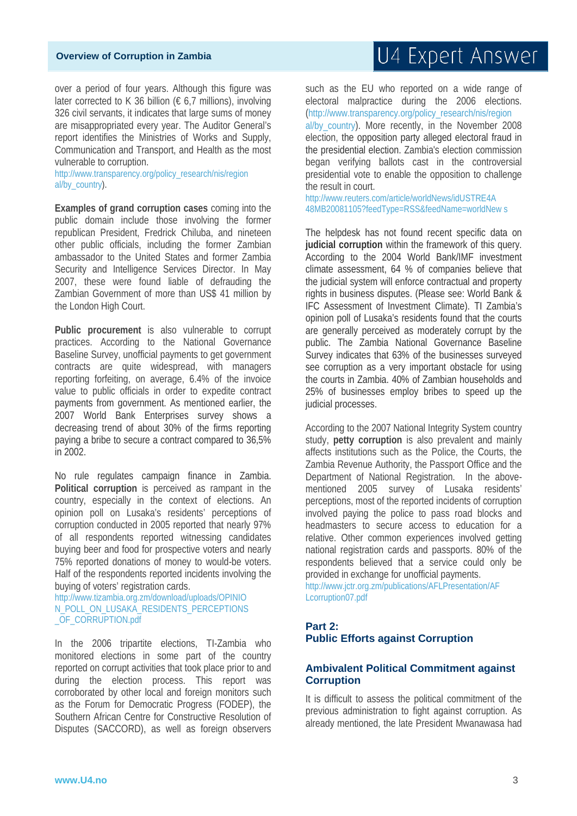over a period of four years. Although this figure was later corrected to K 36 billion ( $\epsilon$  6,7 millions), involving 326 civil servants, it indicates that large sums of money are misappropriated every year. The Auditor General's report identifies the Ministries of Works and Supply, Communication and Transport, and Health as the most vulnerable to corruption.

http://www.transparency.org/policy\_research/nis/region al/by\_country).

**Examples of grand corruption cases** coming into the public domain include those involving the former republican President, Fredrick Chiluba, and nineteen other public officials, including the former Zambian ambassador to the United States and former Zambia Security and Intelligence Services Director. In May 2007, these were found liable of defrauding the Zambian Government of more than US\$ 41 million by the London High Court.

Public procurement is also vulnerable to corrupt practices. According to the National Governance Baseline Survey, unofficial payments to get government contracts are quite widespread, with managers reporting forfeiting, on average, 6.4% of the invoice value to public officials in order to expedite contract payments from government. As mentioned earlier, the 2007 World Bank Enterprises survey shows a decreasing trend of about 30% of the firms reporting paying a bribe to secure a contract compared to 36,5% in 2002.

No rule regulates campaign finance in Zambia. **Political corruption** is perceived as rampant in the country, especially in the context of elections. An opinion poll on Lusaka's residents' perceptions of corruption conducted in 2005 reported that nearly 97% of all respondents reported witnessing candidates buying beer and food for prospective voters and nearly 75% reported donations of money to would-be voters. Half of the respondents reported incidents involving the buying of voters' registration cards.

http://www.tizambia.org.zm/download/uploads/OPINIO N\_POLL\_ON\_LUSAKA\_RESIDENTS\_PERCEPTIONS \_OF\_CORRUPTION.pdf

In the 2006 tripartite elections, TI-Zambia who monitored elections in some part of the country reported on corrupt activities that took place prior to and during the election process. This report was corroborated by other local and foreign monitors such as the Forum for Democratic Progress (FODEP), the Southern African Centre for Constructive Resolution of Disputes (SACCORD), as well as foreign observers U4 Expert Answer

such as the EU who reported on a wide range of electoral malpractice during the 2006 elections. (http://www.transparency.org/policy\_research/nis/region al/by\_country). More recently, in the November 2008 election, the opposition party alleged electoral fraud in the presidential election. Zambia's election commission began verifying ballots cast in the controversial presidential vote to enable the opposition to challenge the result in court.

http://www.reuters.com/article/worldNews/idUSTRE4A 48MB20081105?feedType=RSS&feedName=worldNew s

The helpdesk has not found recent specific data on **judicial corruption** within the framework of this query. According to the 2004 World Bank/IMF investment climate assessment, 64 % of companies believe that the judicial system will enforce contractual and property rights in business disputes. (Please see: World Bank & IFC Assessment of Investment Climate). TI Zambia's opinion poll of Lusaka's residents found that the courts are generally perceived as moderately corrupt by the public. The Zambia National Governance Baseline Survey indicates that 63% of the businesses surveyed see corruption as a very important obstacle for using the courts in Zambia. 40% of Zambian households and 25% of businesses employ bribes to speed up the judicial processes.

According to the 2007 National Integrity System country study, **petty corruption** is also prevalent and mainly affects institutions such as the Police, the Courts, the Zambia Revenue Authority, the Passport Office and the Department of National Registration. In the abovementioned 2005 survey of Lusaka residents' perceptions, most of the reported incidents of corruption involved paying the police to pass road blocks and headmasters to secure access to education for a relative. Other common experiences involved getting national registration cards and passports. 80% of the respondents believed that a service could only be provided in exchange for unofficial payments.

http://www.jctr.org.zm/publications/AFLPresentation/AF Lcorruption07.pdf

### **Part 2: Public Efforts against Corruption**

### **Ambivalent Political Commitment against Corruption**

It is difficult to assess the political commitment of the previous administration to fight against corruption. As already mentioned, the late President Mwanawasa had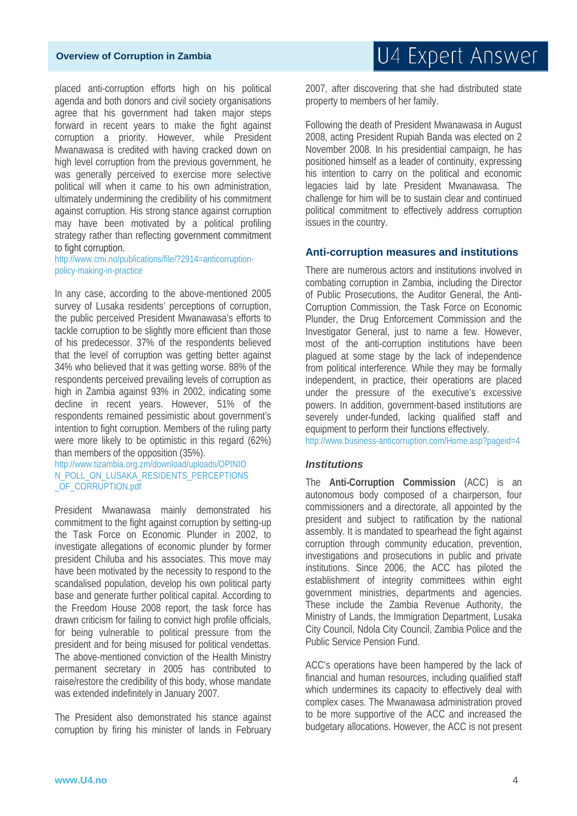### **Overview of Corruption in Zambia**

placed anti-corruption efforts high on his political agenda and both donors and civil society organisations agree that his government had taken major steps forward in recent years to make the fight against corruption a priority. However, while President Mwanawasa is credited with having cracked down on high level corruption from the previous government, he was generally perceived to exercise more selective political will when it came to his own administration, ultimately undermining the credibility of his commitment against corruption. His strong stance against corruption may have been motivated by a political profiling strategy rather than reflecting government commitment to fight corruption.

http://www.cmi.no/publications/file/?2914=anticorruptionpolicy-making-in-practice

In any case, according to the above-mentioned 2005 survey of Lusaka residents' perceptions of corruption, the public perceived President Mwanawasa's efforts to tackle corruption to be slightly more efficient than those of his predecessor. 37% of the respondents believed that the level of corruption was getting better against 34% who believed that it was getting worse. 88% of the respondents perceived prevailing levels of corruption as high in Zambia against 93% in 2002, indicating some decline in recent years. However, 51% of the respondents remained pessimistic about government's intention to fight corruption. Members of the ruling party were more likely to be optimistic in this regard (62%) than members of the opposition (35%).

http://www.tizambia.org.zm/download/uploads/OPINIO N\_POLL\_ON\_LUSAKA\_RESIDENTS\_PERCEPTIONS \_OF\_CORRUPTION.pdf

President Mwanawasa mainly demonstrated his commitment to the fight against corruption by setting-up the Task Force on Economic Plunder in 2002, to investigate allegations of economic plunder by former president Chiluba and his associates. This move may have been motivated by the necessity to respond to the scandalised population, develop his own political party base and generate further political capital. According to the Freedom House 2008 report, the task force has drawn criticism for failing to convict high profile officials, for being vulnerable to political pressure from the president and for being misused for political vendettas. The above-mentioned conviction of the Health Ministry permanent secretary in 2005 has contributed to raise/restore the credibility of this body, whose mandate was extended indefinitely in January 2007.

The President also demonstrated his stance against corruption by firing his minister of lands in February 2007, after discovering that she had distributed state property to members of her family.

Following the death of President Mwanawasa in August 2008, acting President Rupiah Banda was elected on 2 November 2008. In his presidential campaign, he has positioned himself as a leader of continuity, expressing his intention to carry on the political and economic legacies laid by late President Mwanawasa. The challenge for him will be to sustain clear and continued political commitment to effectively address corruption issues in the country.

# **Anti-corruption measures and institutions**

There are numerous actors and institutions involved in combating corruption in Zambia, including the Director of Public Prosecutions, the Auditor General, the Anti-Corruption Commission, the Task Force on Economic Plunder, the Drug Enforcement Commission and the Investigator General, just to name a few. However, most of the anti-corruption institutions have been plagued at some stage by the lack of independence from political interference. While they may be formally independent, in practice, their operations are placed under the pressure of the executive's excessive powers. In addition, government-based institutions are severely under-funded, lacking qualified staff and equipment to perform their functions effectively.

http://www.business-anticorruption.com/Home.asp?pageid=4

### *Institutions*

The **Anti-Corruption Commission** (ACC) is an autonomous body composed of a chairperson, four commissioners and a directorate, all appointed by the president and subject to ratification by the national assembly. It is mandated to spearhead the fight against corruption through community education, prevention, investigations and prosecutions in public and private institutions. Since 2006, the ACC has piloted the establishment of integrity committees within eight government ministries, departments and agencies. These include the Zambia Revenue Authority, the Ministry of Lands, the Immigration Department, Lusaka City Council, Ndola City Council, Zambia Police and the Public Service Pension Fund.

ACC's operations have been hampered by the lack of financial and human resources, including qualified staff which undermines its capacity to effectively deal with complex cases. The Mwanawasa administration proved to be more supportive of the ACC and increased the budgetary allocations. However, the ACC is not present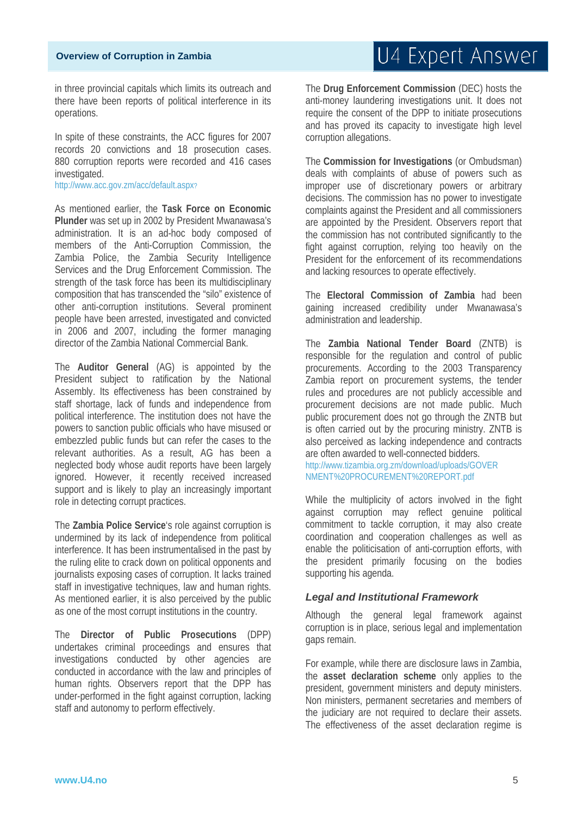# U4 Expert Answer

in three provincial capitals which limits its outreach and there have been reports of political interference in its operations.

In spite of these constraints, the ACC figures for 2007 records 20 convictions and 18 prosecution cases. 880 corruption reports were recorded and 416 cases investigated.

http://www.acc.gov.zm/acc/default.aspx?

As mentioned earlier, the **Task Force on Economic Plunder** was set up in 2002 by President Mwanawasa's administration. It is an ad-hoc body composed of members of the Anti-Corruption Commission, the Zambia Police, the Zambia Security Intelligence Services and the Drug Enforcement Commission. The strength of the task force has been its multidisciplinary composition that has transcended the "silo" existence of other anti-corruption institutions. Several prominent people have been arrested, investigated and convicted in 2006 and 2007, including the former managing director of the Zambia National Commercial Bank.

The **Auditor General** (AG) is appointed by the President subject to ratification by the National Assembly. Its effectiveness has been constrained by staff shortage, lack of funds and independence from political interference. The institution does not have the powers to sanction public officials who have misused or embezzled public funds but can refer the cases to the relevant authorities. As a result, AG has been a neglected body whose audit reports have been largely ignored. However, it recently received increased support and is likely to play an increasingly important role in detecting corrupt practices.

The **Zambia Police Service**'s role against corruption is undermined by its lack of independence from political interference. It has been instrumentalised in the past by the ruling elite to crack down on political opponents and journalists exposing cases of corruption. It lacks trained staff in investigative techniques, law and human rights. As mentioned earlier, it is also perceived by the public as one of the most corrupt institutions in the country.

The **Director of Public Prosecutions** (DPP) undertakes criminal proceedings and ensures that investigations conducted by other agencies are conducted in accordance with the law and principles of human rights. Observers report that the DPP has under-performed in the fight against corruption, lacking staff and autonomy to perform effectively.

The **Drug Enforcement Commission** (DEC) hosts the anti-money laundering investigations unit. It does not require the consent of the DPP to initiate prosecutions and has proved its capacity to investigate high level corruption allegations.

The **Commission for Investigations** (or Ombudsman) deals with complaints of abuse of powers such as improper use of discretionary powers or arbitrary decisions. The commission has no power to investigate complaints against the President and all commissioners are appointed by the President. Observers report that the commission has not contributed significantly to the fight against corruption, relying too heavily on the President for the enforcement of its recommendations and lacking resources to operate effectively.

The **Electoral Commission of Zambia** had been gaining increased credibility under Mwanawasa's administration and leadership.

The **Zambia National Tender Board** (ZNTB) is responsible for the regulation and control of public procurements. According to the 2003 Transparency Zambia report on procurement systems, the tender rules and procedures are not publicly accessible and procurement decisions are not made public. Much public procurement does not go through the ZNTB but is often carried out by the procuring ministry. ZNTB is also perceived as lacking independence and contracts are often awarded to well-connected bidders.

http://www.tizambia.org.zm/download/uploads/GOVER NMENT%20PROCUREMENT%20REPORT.pdf

While the multiplicity of actors involved in the fight against corruption may reflect genuine political commitment to tackle corruption, it may also create coordination and cooperation challenges as well as enable the politicisation of anti-corruption efforts, with the president primarily focusing on the bodies supporting his agenda.

### *Legal and Institutional Framework*

Although the general legal framework against corruption is in place, serious legal and implementation gaps remain.

For example, while there are disclosure laws in Zambia, the **asset declaration scheme** only applies to the president, government ministers and deputy ministers. Non ministers, permanent secretaries and members of the judiciary are not required to declare their assets. The effectiveness of the asset declaration regime is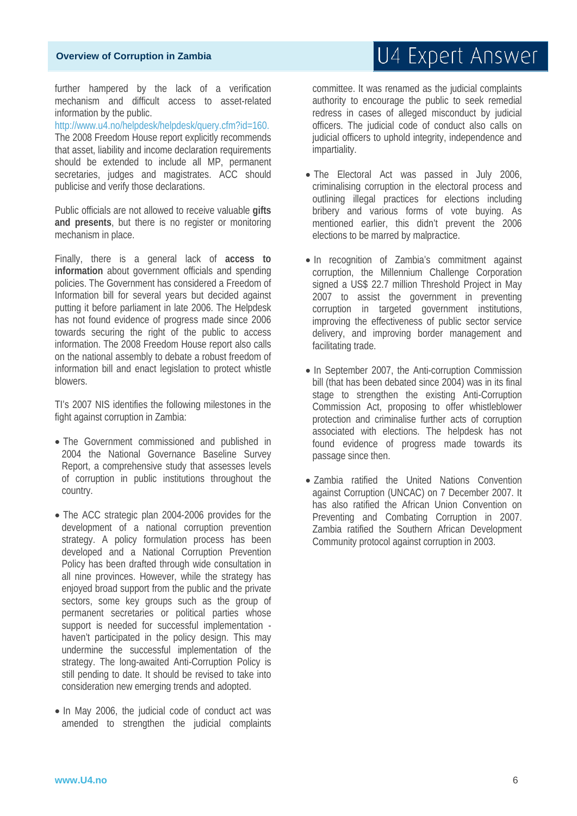further hampered by the lack of a verification mechanism and difficult access to asset-related information by the public.

http://www.u4.no/helpdesk/helpdesk/query.cfm?id=160. The 2008 Freedom House report explicitly recommends that asset, liability and income declaration requirements should be extended to include all MP, permanent secretaries, judges and magistrates. ACC should publicise and verify those declarations.

Public officials are not allowed to receive valuable **gifts and presents**, but there is no register or monitoring mechanism in place.

Finally, there is a general lack of **access to information** about government officials and spending policies. The Government has considered a Freedom of Information bill for several years but decided against putting it before parliament in late 2006. The Helpdesk has not found evidence of progress made since 2006 towards securing the right of the public to access information. The 2008 Freedom House report also calls on the national assembly to debate a robust freedom of information bill and enact legislation to protect whistle blowers.

TI's 2007 NIS identifies the following milestones in the fight against corruption in Zambia:

- The Government commissioned and published in 2004 the National Governance Baseline Survey Report, a comprehensive study that assesses levels of corruption in public institutions throughout the country.
- The ACC strategic plan 2004-2006 provides for the development of a national corruption prevention strategy. A policy formulation process has been developed and a National Corruption Prevention Policy has been drafted through wide consultation in all nine provinces. However, while the strategy has enjoyed broad support from the public and the private sectors, some key groups such as the group of permanent secretaries or political parties whose support is needed for successful implementation haven't participated in the policy design. This may undermine the successful implementation of the strategy. The long-awaited Anti-Corruption Policy is still pending to date. It should be revised to take into consideration new emerging trends and adopted.
- In May 2006, the judicial code of conduct act was amended to strengthen the judicial complaints

### committee. It was renamed as the judicial complaints authority to encourage the public to seek remedial redress in cases of alleged misconduct by judicial officers. The judicial code of conduct also calls on judicial officers to uphold integrity, independence and impartiality.

- The Electoral Act was passed in July 2006, criminalising corruption in the electoral process and outlining illegal practices for elections including bribery and various forms of vote buying. As mentioned earlier, this didn't prevent the 2006 elections to be marred by malpractice.
- In recognition of Zambia's commitment against corruption, the Millennium Challenge Corporation signed a US\$ 22.7 million Threshold Project in May 2007 to assist the government in preventing corruption in targeted government institutions, improving the effectiveness of public sector service delivery, and improving border management and facilitating trade.
- In September 2007, the Anti-corruption Commission bill (that has been debated since 2004) was in its final stage to strengthen the existing Anti-Corruption Commission Act, proposing to offer whistleblower protection and criminalise further acts of corruption associated with elections. The helpdesk has not found evidence of progress made towards its passage since then.
- Zambia ratified the United Nations Convention against Corruption (UNCAC) on 7 December 2007. It has also ratified the African Union Convention on Preventing and Combating Corruption in 2007. Zambia ratified the Southern African Development Community protocol against corruption in 2003.

# U4 Expert Answer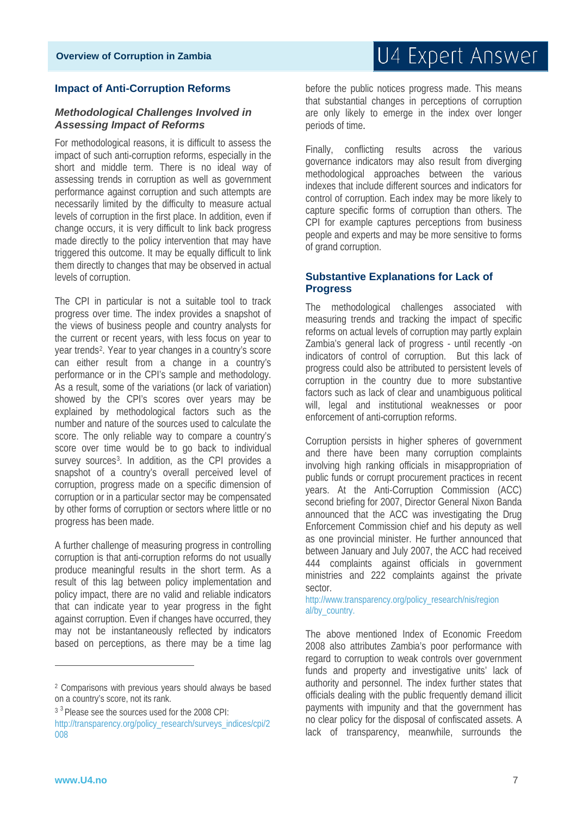### **Impact of Anti-Corruption Reforms**

### *Methodological Challenges Involved in Assessing Impact of Reforms*

For methodological reasons, it is difficult to assess the impact of such anti-corruption reforms, especially in the short and middle term. There is no ideal way of assessing trends in corruption as well as government performance against corruption and such attempts are necessarily limited by the difficulty to measure actual levels of corruption in the first place. In addition, even if change occurs, it is very difficult to link back progress made directly to the policy intervention that may have triggered this outcome. It may be equally difficult to link them directly to changes that may be observed in actual levels of corruption.

The CPI in particular is not a suitable tool to track progress over time. The index provides a snapshot of the views of business people and country analysts for the current or recent years, with less focus on year to year trends[2.](#page-6-0) Year to year changes in a country's score can either result from a change in a country's performance or in the CPI's sample and methodology. As a result, some of the variations (or lack of variation) showed by the CPI's scores over years may be explained by methodological factors such as the number and nature of the sources used to calculate the score. The only reliable way to compare a country's score over time would be to go back to individual survey sources<sup>[3](#page-6-1)</sup>. In addition, as the CPI provides a snapshot of a country's overall perceived level of corruption, progress made on a specific dimension of corruption or in a particular sector may be compensated by other forms of corruption or sectors where little or no progress has been made.

A further challenge of measuring progress in controlling corruption is that anti-corruption reforms do not usually produce meaningful results in the short term. As a result of this lag between policy implementation and policy impact, there are no valid and reliable indicators that can indicate year to year progress in the fight against corruption. Even if changes have occurred, they may not be instantaneously reflected by indicators based on perceptions, as there may be a time lag before the public notices progress made. This means that substantial changes in perceptions of corruption are only likely to emerge in the index over longer periods of time.

Finally, conflicting results across the various governance indicators may also result from diverging methodological approaches between the various indexes that include different sources and indicators for control of corruption. Each index may be more likely to capture specific forms of corruption than others. The CPI for example captures perceptions from business people and experts and may be more sensitive to forms of grand corruption.

### **Substantive Explanations for Lack of Progress**

The methodological challenges associated with measuring trends and tracking the impact of specific reforms on actual levels of corruption may partly explain Zambia's general lack of progress - until recently -on indicators of control of corruption. But this lack of progress could also be attributed to persistent levels of corruption in the country due to more substantive factors such as lack of clear and unambiguous political will, legal and institutional weaknesses or poor enforcement of anti-corruption reforms.

Corruption persists in higher spheres of government and there have been many corruption complaints involving high ranking officials in misappropriation of public funds or corrupt procurement practices in recent years. At the Anti-Corruption Commission (ACC) second briefing for 2007, Director General Nixon Banda announced that the ACC was investigating the Drug Enforcement Commission chief and his deputy as well as one provincial minister. He further announced that between January and July 2007, the ACC had received 444 complaints against officials in government ministries and 222 complaints against the private sector.

http://www.transparency.org/policy\_research/nis/region al/by\_country.

The above mentioned Index of Economic Freedom 2008 also attributes Zambia's poor performance with regard to corruption to weak controls over government funds and property and investigative units' lack of authority and personnel. The index further states that officials dealing with the public frequently demand illicit payments with impunity and that the government has no clear policy for the disposal of confiscated assets. A lack of transparency, meanwhile, surrounds the

**.** 

<span id="page-6-0"></span><sup>2</sup> Comparisons with previous years should always be based on a country's score, not its rank.

<span id="page-6-1"></span><sup>&</sup>lt;sup>3</sup><sup>3</sup> Please see the sources used for the 2008 CPI: http://transparency.org/policy\_research/surveys\_indices/cpi/2 008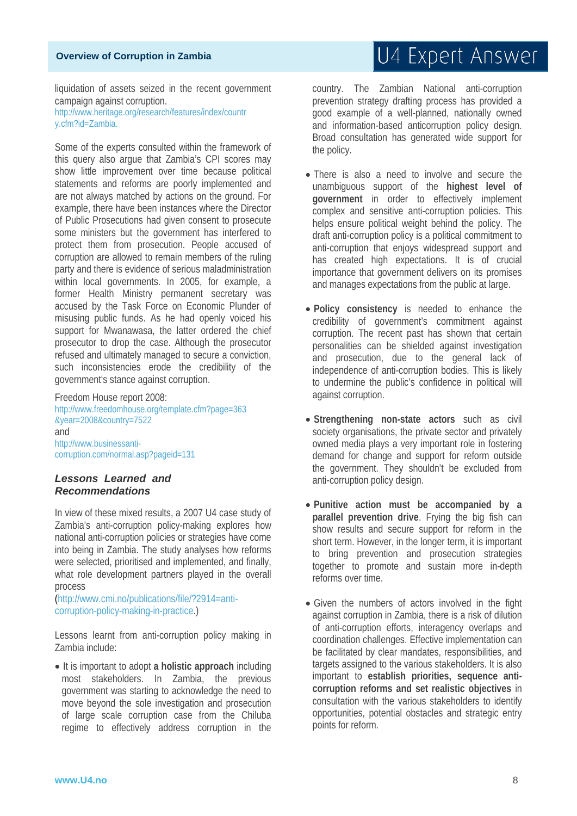liquidation of assets seized in the recent government campaign against corruption. http://www.heritage.org/research/features/index/countr y.cfm?id=Zambia.

Some of the experts consulted within the framework of this query also argue that Zambia's CPI scores may show little improvement over time because political statements and reforms are poorly implemented and are not always matched by actions on the ground. For example, there have been instances where the Director of Public Prosecutions had given consent to prosecute some ministers but the government has interfered to protect them from prosecution. People accused of corruption are allowed to remain members of the ruling party and there is evidence of serious maladministration within local governments. In 2005, for example, a former Health Ministry permanent secretary was accused by the Task Force on Economic Plunder of misusing public funds. As he had openly voiced his support for Mwanawasa, the latter ordered the chief prosecutor to drop the case. Although the prosecutor refused and ultimately managed to secure a conviction, such inconsistencies erode the credibility of the government's stance against corruption.

Freedom House report 2008: http://www.freedomhouse.org/template.cfm?page=363 &year=2008&country=7522 and http://www.businessanticorruption.com/normal.asp?pageid=131

### *Lessons Learned and Recommendations*

In view of these mixed results, a 2007 U4 case study of Zambia's anti-corruption policy-making explores how national anti-corruption policies or strategies have come into being in Zambia. The study analyses how reforms were selected, prioritised and implemented, and finally, what role development partners played in the overall process

(http://www.cmi.no/publications/file/?2914=anticorruption-policy-making-in-practice.)

Lessons learnt from anti-corruption policy making in Zambia include:

• It is important to adopt **a holistic approach** including most stakeholders. In Zambia, the previous government was starting to acknowledge the need to move beyond the sole investigation and prosecution of large scale corruption case from the Chiluba regime to effectively address corruption in the country. The Zambian National anti-corruption prevention strategy drafting process has provided a good example of a well-planned, nationally owned and information-based anticorruption policy design. Broad consultation has generated wide support for the policy.

- There is also a need to involve and secure the unambiguous support of the **highest level of government** in order to effectively implement complex and sensitive anti-corruption policies. This helps ensure political weight behind the policy. The draft anti-corruption policy is a political commitment to anti-corruption that enjoys widespread support and has created high expectations. It is of crucial importance that government delivers on its promises and manages expectations from the public at large.
- **Policy consistency** is needed to enhance the credibility of government's commitment against corruption. The recent past has shown that certain personalities can be shielded against investigation and prosecution, due to the general lack of independence of anti-corruption bodies. This is likely to undermine the public's confidence in political will against corruption.
- **Strengthening non-state actors** such as civil society organisations, the private sector and privately owned media plays a very important role in fostering demand for change and support for reform outside the government. They shouldn't be excluded from anti-corruption policy design.
- **Punitive action must be accompanied by a parallel prevention drive**. Frying the big fish can show results and secure support for reform in the short term. However, in the longer term, it is important to bring prevention and prosecution strategies together to promote and sustain more in-depth reforms over time.
- Given the numbers of actors involved in the fight against corruption in Zambia, there is a risk of dilution of anti-corruption efforts, interagency overlaps and coordination challenges. Effective implementation can be facilitated by clear mandates, responsibilities, and targets assigned to the various stakeholders. It is also important to **establish priorities, sequence anticorruption reforms and set realistic objectives** in consultation with the various stakeholders to identify opportunities, potential obstacles and strategic entry points for reform.

# U4 Expert Answer